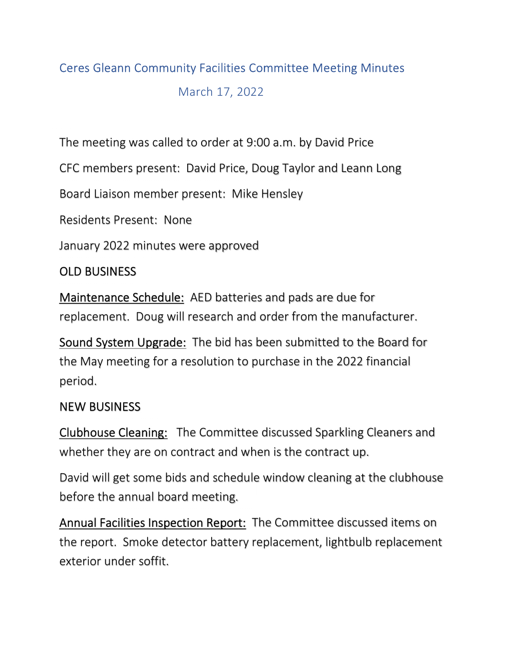## Ceres Gleann Community Facilities Committee Meeting Minutes

March 17, 2022

The meeting was called to order at 9:00 a.m. by David Price

CFC members present: David Price, Doug Taylor and Leann Long

Board Liaison member present: Mike Hensley

Residents Present: None

January 2022 minutes were approved

## OLD BUSINESS

Maintenance Schedule: AED batteries and pads are due for replacement. Doug will research and order from the manufacturer.

Sound System Upgrade: The bid has been submitted to the Board for the May meeting for a resolution to purchase in the 2022 financial period.

## NEW BUSINESS

Clubhouse Cleaning: The Committee discussed Sparkling Cleaners and whether they are on contract and when is the contract up.

David will get some bids and schedule window cleaning at the clubhouse before the annual board meeting.

Annual Facilities Inspection Report: The Committee discussed items on the report. Smoke detector battery replacement, lightbulb replacement exterior under soffit.